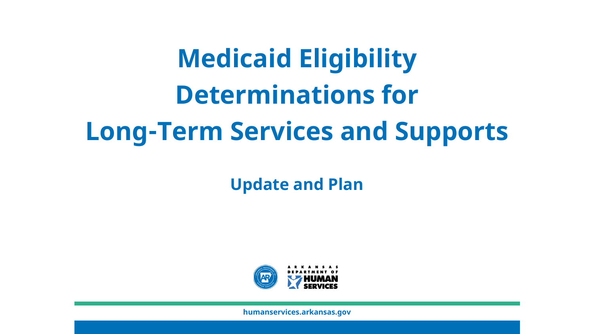# **Medicaid Eligibility Determinations for Long-Term Services and Supports**

**Update and Plan**

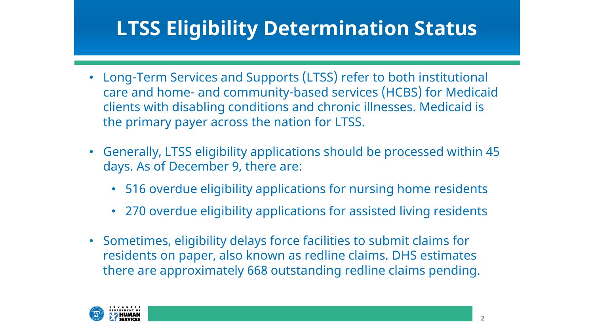### **LTSS Eligibility Determination Status**

- Long-Term Services and Supports (LTSS) refer to both institutional care and home- and community-based services (HCBS) for Medicaid clients with disabling conditions and chronic illnesses. Medicaid is the primary payer across the nation for LTSS.
- Generally, LTSS eligibility applications should be processed within 45 days. As of December 9, there are:
	- 516 overdue eligibility applications for nursing home residents
	- 270 overdue eligibility applications for assisted living residents
- Sometimes, eligibility delays force facilities to submit claims for residents on paper, also known as redline claims. DHS estimates there are approximately 668 outstanding redline claims pending.

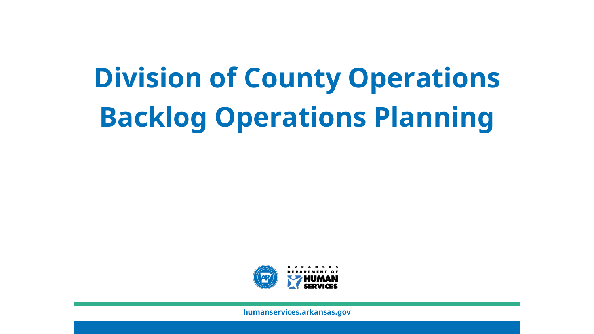# **Division of County Operations Backlog Operations Planning**

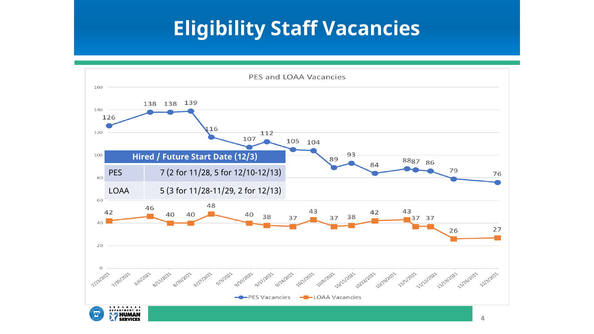### **Eligibility Staff Vacancies**

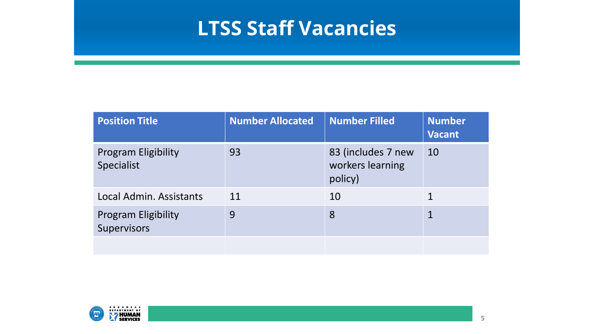#### **LTSS Staff Vacancies**

| <b>Position Title</b>                     | <b>Number Allocated</b> | Number Filled                                     | <b>Number</b><br><b>Vacant</b> |
|-------------------------------------------|-------------------------|---------------------------------------------------|--------------------------------|
| <b>Program Eligibility</b><br>Specialist  | 93                      | 83 (includes 7 new<br>workers learning<br>policy) | 10                             |
| Local Admin. Assistants                   | 11                      | 10                                                | 1                              |
| <b>Program Eligibility</b><br>Supervisors | 9                       | 8                                                 | 1                              |
|                                           |                         |                                                   |                                |

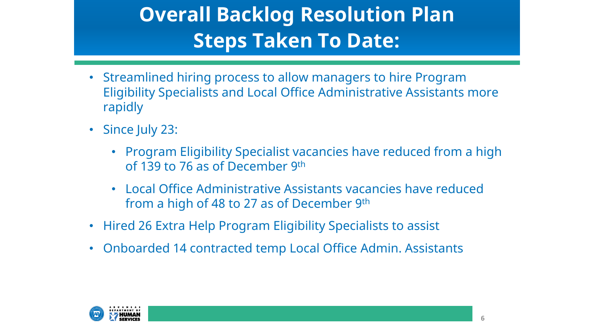# **Overall Backlog Resolution Plan Steps Taken To Date:**

- Streamlined hiring process to allow managers to hire Program Eligibility Specialists and Local Office Administrative Assistants more rapidly
- Since July 23:
	- Program Eligibility Specialist vacancies have reduced from a high of 139 to 76 as of December 9th
	- Local Office Administrative Assistants vacancies have reduced from a high of 48 to 27 as of December 9th
- Hired 26 Extra Help Program Eligibility Specialists to assist
- Onboarded 14 contracted temp Local Office Admin. Assistants

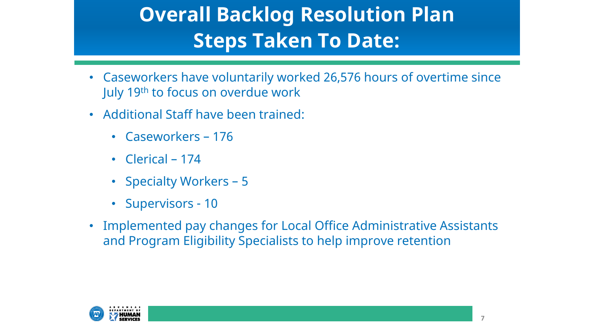## **Overall Backlog Resolution Plan Steps Taken To Date:**

- Caseworkers have voluntarily worked 26,576 hours of overtime since July 19th to focus on overdue work
- Additional Staff have been trained:
	- Caseworkers 176
	- Clerical 174
	- Specialty Workers 5
	- Supervisors 10
- Implemented pay changes for Local Office Administrative Assistants and Program Eligibility Specialists to help improve retention

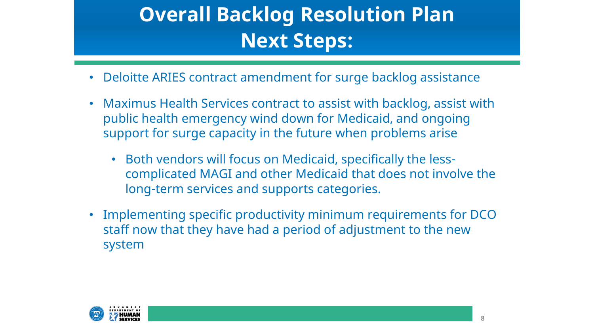# **Overall Backlog Resolution Plan Next Steps:**

- Deloitte ARIES contract amendment for surge backlog assistance
- Maximus Health Services contract to assist with backlog, assist with public health emergency wind down for Medicaid, and ongoing support for surge capacity in the future when problems arise
	- Both vendors will focus on Medicaid, specifically the lesscomplicated MAGI and other Medicaid that does not involve the long-term services and supports categories.
- Implementing specific productivity minimum requirements for DCO staff now that they have had a period of adjustment to the new system

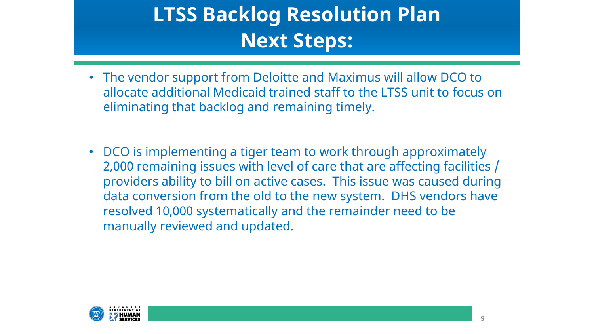# **LTSS Backlog Resolution Plan Next Steps:**

- The vendor support from Deloitte and Maximus will allow DCO to allocate additional Medicaid trained staff to the LTSS unit to focus on eliminating that backlog and remaining timely.
- DCO is implementing a tiger team to work through approximately 2,000 remaining issues with level of care that are affecting facilities / providers ability to bill on active cases. This issue was caused during data conversion from the old to the new system. DHS vendors have resolved 10,000 systematically and the remainder need to be manually reviewed and updated.

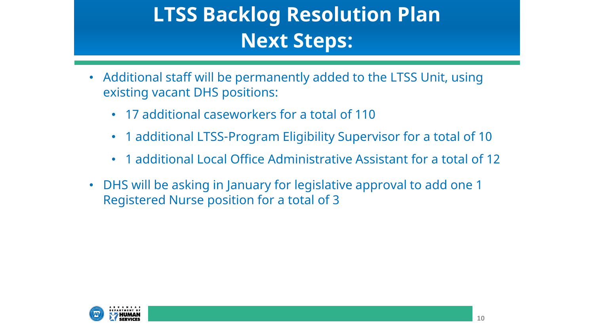# **LTSS Backlog Resolution Plan Next Steps:**

- Additional staff will be permanently added to the LTSS Unit, using existing vacant DHS positions:
	- 17 additional caseworkers for a total of 110
	- 1 additional LTSS-Program Eligibility Supervisor for a total of 10
	- 1 additional Local Office Administrative Assistant for a total of 12
- DHS will be asking in January for legislative approval to add one 1 Registered Nurse position for a total of 3

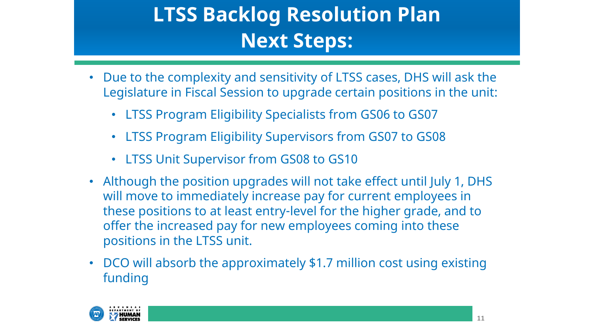# **LTSS Backlog Resolution Plan Next Steps:**

- Due to the complexity and sensitivity of LTSS cases, DHS will ask the Legislature in Fiscal Session to upgrade certain positions in the unit:
	- LTSS Program Eligibility Specialists from GS06 to GS07
	- LTSS Program Eligibility Supervisors from GS07 to GS08
	- LTSS Unit Supervisor from GS08 to GS10
- Although the position upgrades will not take effect until July 1, DHS will move to immediately increase pay for current employees in these positions to at least entry-level for the higher grade, and to offer the increased pay for new employees coming into these positions in the LTSS unit.
- DCO will absorb the approximately \$1.7 million cost using existing funding

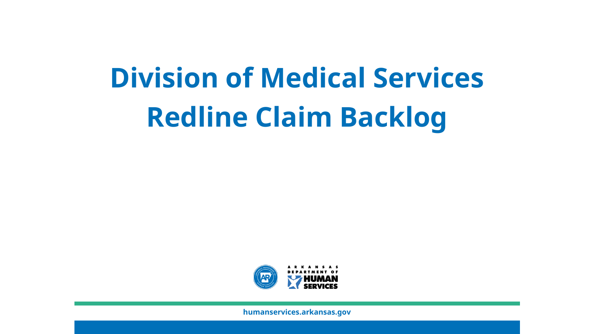# **Division of Medical Services Redline Claim Backlog**

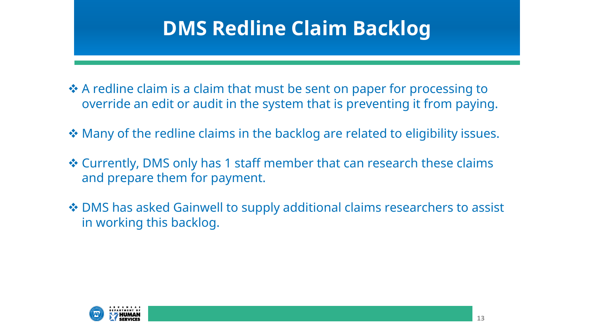### **DMS Redline Claim Backlog**

- ❖ A redline claim is a claim that must be sent on paper for processing to override an edit or audit in the system that is preventing it from paying.
- ◆ Many of the redline claims in the backlog are related to eligibility issues.
- Currently, DMS only has 1 staff member that can research these claims and prepare them for payment.
- ◆ DMS has asked Gainwell to supply additional claims researchers to assist in working this backlog.

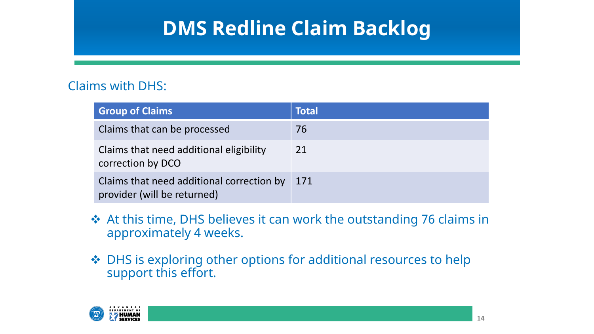### **DMS Redline Claim Backlog**

#### Claims with DHS:

| <b>Group of Claims</b>                                                   | <b>Total</b> |
|--------------------------------------------------------------------------|--------------|
| Claims that can be processed                                             | 76           |
| Claims that need additional eligibility<br>correction by DCO             | 21           |
| Claims that need additional correction by<br>provider (will be returned) | 171          |

- At this time, DHS believes it can work the outstanding 76 claims in approximately 4 weeks.
- ◆ DHS is exploring other options for additional resources to help support this effort.

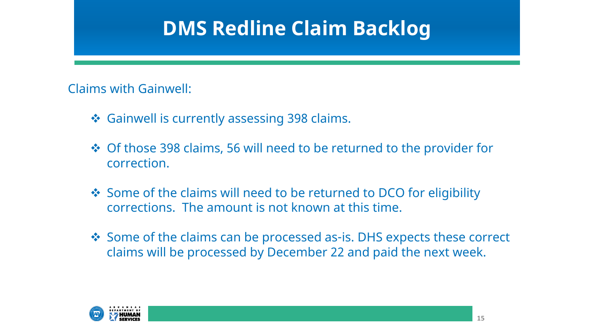#### **DMS Redline Claim Backlog**

Claims with Gainwell:

- ❖ Gainwell is currently assessing 398 claims.
- ◆ Of those 398 claims, 56 will need to be returned to the provider for correction.
- Some of the claims will need to be returned to DCO for eligibility corrections. The amount is not known at this time.
- Some of the claims can be processed as-is. DHS expects these correct claims will be processed by December 22 and paid the next week.